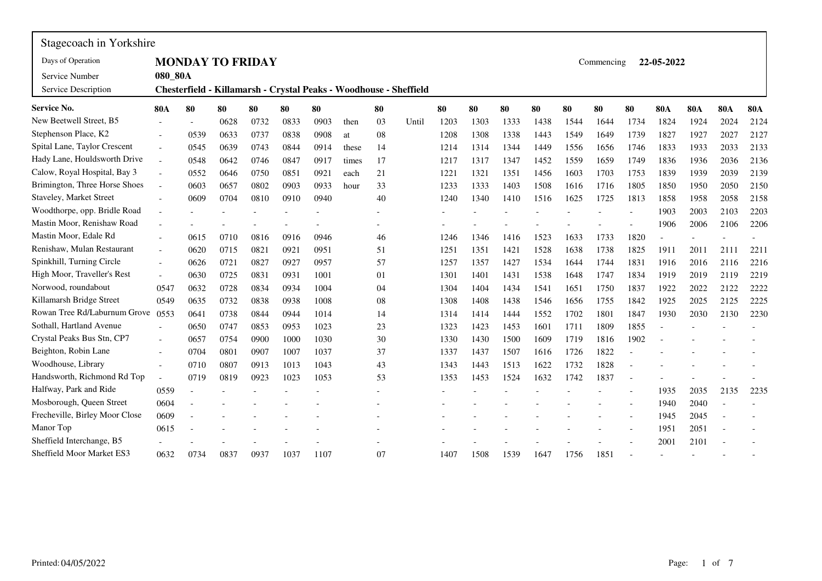| Stagecoach in Yorkshire               |                          |                          |      |                         |      |      |       |    |                                                                   |      |      |      |      |      |            |      |                |            |                |            |
|---------------------------------------|--------------------------|--------------------------|------|-------------------------|------|------|-------|----|-------------------------------------------------------------------|------|------|------|------|------|------------|------|----------------|------------|----------------|------------|
| Days of Operation                     |                          |                          |      | <b>MONDAY TO FRIDAY</b> |      |      |       |    |                                                                   |      |      |      |      |      | Commencing |      | 22-05-2022     |            |                |            |
| Service Number<br>Service Description | 080 80A                  |                          |      |                         |      |      |       |    | Chesterfield - Killamarsh - Crystal Peaks - Woodhouse - Sheffield |      |      |      |      |      |            |      |                |            |                |            |
| <b>Service No.</b>                    | <b>80A</b>               | 80                       | 80   | 80                      | 80   | 80   |       | 80 |                                                                   | 80   | 80   | 80   | 80   | 80   | 80         | 80   | <b>80A</b>     | <b>80A</b> | <b>80A</b>     | <b>80A</b> |
| New Beetwell Street, B5               |                          |                          | 0628 | 0732                    | 0833 | 0903 | then  | 03 | Until                                                             | 1203 | 1303 | 1333 | 1438 | 1544 | 1644       | 1734 | 1824           | 1924       | 2024           | 2124       |
| Stephenson Place, K2                  |                          | 0539                     | 0633 | 0737                    | 0838 | 0908 | at    | 08 |                                                                   | 1208 | 1308 | 1338 | 1443 | 1549 | 1649       | 1739 | 1827           | 1927       | 2027           | 2127       |
| Spital Lane, Taylor Crescent          |                          | 0545                     | 0639 | 0743                    | 0844 | 0914 | these | 14 |                                                                   | 1214 | 1314 | 1344 | 1449 | 1556 | 1656       | 1746 | 1833           | 1933       | 2033           | 2133       |
| Hady Lane, Houldsworth Drive          | $\overline{\phantom{a}}$ | 0548                     | 0642 | 0746                    | 0847 | 0917 | times | 17 |                                                                   | 1217 | 1317 | 1347 | 1452 | 1559 | 1659       | 1749 | 1836           | 1936       | 2036           | 2136       |
| Calow, Royal Hospital, Bay 3          |                          | 0552                     | 0646 | 0750                    | 0851 | 0921 | each  | 21 |                                                                   | 1221 | 1321 | 1351 | 1456 | 1603 | 1703       | 1753 | 1839           | 1939       | 2039           | 2139       |
| Brimington, Three Horse Shoes         | $\overline{a}$           | 0603                     | 0657 | 0802                    | 0903 | 0933 | hour  | 33 |                                                                   | 1233 | 1333 | 1403 | 1508 | 1616 | 1716       | 1805 | 1850           | 1950       | 2050           | 2150       |
| Staveley, Market Street               |                          | 0609                     | 0704 | 0810                    | 0910 | 0940 |       | 40 |                                                                   | 1240 | 1340 | 1410 | 1516 | 1625 | 1725       | 1813 | 1858           | 1958       | 2058           | 2158       |
| Woodthorpe, opp. Bridle Road          | $\overline{\phantom{0}}$ |                          |      |                         |      |      |       |    |                                                                   |      |      |      |      |      |            |      | 1903           | 2003       | 2103           | 2203       |
| Mastin Moor, Renishaw Road            |                          |                          |      |                         |      |      |       |    |                                                                   |      |      |      |      |      |            |      | 1906           | 2006       | 2106           | 2206       |
| Mastin Moor, Edale Rd                 |                          | 0615                     | 0710 | 0816                    | 0916 | 0946 |       | 46 |                                                                   | 1246 | 1346 | 1416 | 1523 | 1633 | 1733       | 1820 | $\overline{a}$ |            |                |            |
| Renishaw, Mulan Restaurant            |                          | 0620                     | 0715 | 0821                    | 0921 | 0951 |       | 51 |                                                                   | 1251 | 1351 | 1421 | 1528 | 1638 | 1738       | 1825 | 1911           | 2011       | 2111           | 2211       |
| Spinkhill, Turning Circle             |                          | 0626                     | 0721 | 0827                    | 0927 | 0957 |       | 57 |                                                                   | 1257 | 1357 | 1427 | 1534 | 1644 | 1744       | 1831 | 1916           | 2016       | 2116           | 2216       |
| High Moor, Traveller's Rest           | $\overline{\phantom{a}}$ | 0630                     | 0725 | 0831                    | 0931 | 1001 |       | 01 |                                                                   | 1301 | 1401 | 1431 | 1538 | 1648 | 1747       | 1834 | 1919           | 2019       | 2119           | 2219       |
| Norwood, roundabout                   | 0547                     | 0632                     | 0728 | 0834                    | 0934 | 1004 |       | 04 |                                                                   | 1304 | 1404 | 1434 | 1541 | 1651 | 1750       | 1837 | 1922           | 2022       | 2122           | 2222       |
| Killamarsh Bridge Street              | 0549                     | 0635                     | 0732 | 0838                    | 0938 | 1008 |       | 08 |                                                                   | 1308 | 1408 | 1438 | 1546 | 1656 | 1755       | 1842 | 1925           | 2025       | 2125           | 2225       |
| Rowan Tree Rd/Laburnum Grove          | 0553                     | 0641                     | 0738 | 0844                    | 0944 | 1014 |       | 14 |                                                                   | 1314 | 1414 | 1444 | 1552 | 1702 | 1801       | 1847 | 1930           | 2030       | 2130           | 2230       |
| Sothall, Hartland Avenue              |                          | 0650                     | 0747 | 0853                    | 0953 | 1023 |       | 23 |                                                                   | 1323 | 1423 | 1453 | 1601 | 1711 | 1809       | 1855 |                |            |                |            |
| Crystal Peaks Bus Stn, CP7            | $\overline{a}$           | 0657                     | 0754 | 0900                    | 1000 | 1030 |       | 30 |                                                                   | 1330 | 1430 | 1500 | 1609 | 1719 | 1816       | 1902 |                |            |                |            |
| Beighton, Robin Lane                  | $\overline{a}$           | 0704                     | 0801 | 0907                    | 1007 | 1037 |       | 37 |                                                                   | 1337 | 1437 | 1507 | 1616 | 1726 | 1822       |      |                |            |                |            |
| Woodhouse, Library                    | $\overline{a}$           | 0710                     | 0807 | 0913                    | 1013 | 1043 |       | 43 |                                                                   | 1343 | 1443 | 1513 | 1622 | 1732 | 1828       |      |                |            |                |            |
| Handsworth, Richmond Rd Top           | $\overline{a}$           | 0719                     | 0819 | 0923                    | 1023 | 1053 |       | 53 |                                                                   | 1353 | 1453 | 1524 | 1632 | 1742 | 1837       |      |                |            |                |            |
| Halfway, Park and Ride                | 0559                     | $\overline{\phantom{a}}$ |      |                         |      |      |       |    |                                                                   |      |      |      |      |      |            |      | 1935           | 2035       | 2135           | 2235       |
| Mosborough, Queen Street              | 0604                     |                          |      |                         |      |      |       |    |                                                                   |      |      |      |      |      |            |      | 1940           | 2040       |                |            |
| Frecheville, Birley Moor Close        | 0609                     |                          |      |                         |      |      |       |    |                                                                   |      |      |      |      |      |            |      | 1945           | 2045       | $\overline{a}$ |            |
| Manor Top                             | 0615                     |                          |      |                         |      |      |       |    |                                                                   |      |      |      |      |      |            |      | 1951           | 2051       |                |            |
| Sheffield Interchange, B5             |                          |                          |      |                         |      |      |       |    |                                                                   |      |      |      |      |      |            |      | 2001           | 2101       |                |            |
| Sheffield Moor Market ES3             | 0632                     | 0734                     | 0837 | 0937                    | 1037 | 1107 |       | 07 |                                                                   | 1407 | 1508 | 1539 | 1647 | 1756 | 1851       |      |                |            |                |            |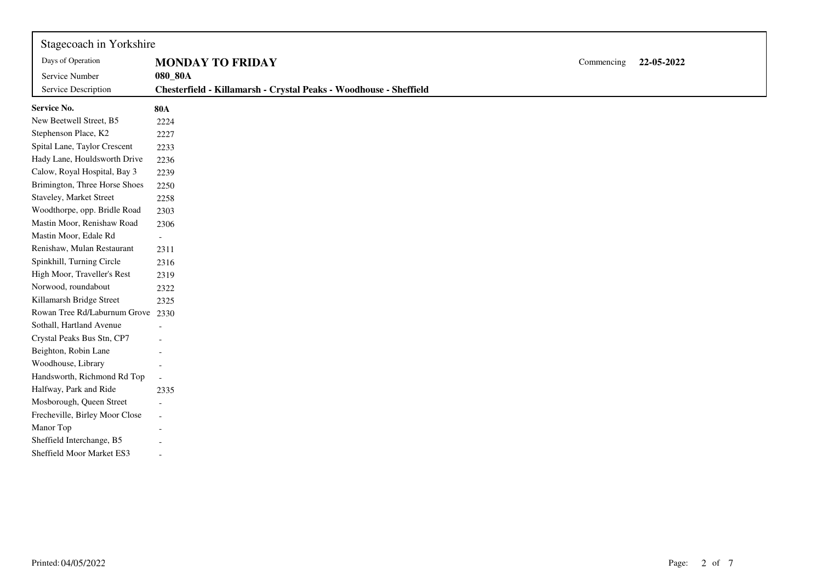| Stagecoach in Yorkshire<br>Days of Operation<br>Service Number | <b>MONDAY TO FRIDAY</b><br>080_80A                                | Commencing | 22-05-2022 |
|----------------------------------------------------------------|-------------------------------------------------------------------|------------|------------|
| Service Description                                            | Chesterfield - Killamarsh - Crystal Peaks - Woodhouse - Sheffield |            |            |
| Service No.                                                    | <b>80A</b>                                                        |            |            |
| New Beetwell Street, B5                                        | 2224                                                              |            |            |
| Stephenson Place, K2                                           | 2227                                                              |            |            |
| Spital Lane, Taylor Crescent                                   | 2233                                                              |            |            |
| Hady Lane, Houldsworth Drive                                   | 2236                                                              |            |            |
| Calow, Royal Hospital, Bay 3                                   | 2239                                                              |            |            |
| Brimington, Three Horse Shoes                                  | 2250                                                              |            |            |
| Staveley, Market Street                                        | 2258                                                              |            |            |
| Woodthorpe, opp. Bridle Road                                   | 2303                                                              |            |            |
| Mastin Moor, Renishaw Road                                     | 2306                                                              |            |            |
| Mastin Moor, Edale Rd                                          | $\overline{\phantom{a}}$                                          |            |            |
| Renishaw, Mulan Restaurant                                     | 2311                                                              |            |            |
| Spinkhill, Turning Circle                                      | 2316                                                              |            |            |
| High Moor, Traveller's Rest                                    | 2319                                                              |            |            |
| Norwood, roundabout                                            | 2322                                                              |            |            |
| Killamarsh Bridge Street                                       | 2325                                                              |            |            |
| Rowan Tree Rd/Laburnum Grove                                   | 2330                                                              |            |            |
| Sothall, Hartland Avenue                                       |                                                                   |            |            |
| Crystal Peaks Bus Stn, CP7                                     |                                                                   |            |            |
| Beighton, Robin Lane                                           |                                                                   |            |            |
| Woodhouse, Library                                             |                                                                   |            |            |
| Handsworth, Richmond Rd Top                                    |                                                                   |            |            |
| Halfway, Park and Ride                                         | 2335                                                              |            |            |
| Mosborough, Queen Street                                       |                                                                   |            |            |
| Frecheville, Birley Moor Close                                 |                                                                   |            |            |
| Manor Top                                                      |                                                                   |            |            |
| Sheffield Interchange, B5                                      |                                                                   |            |            |
| Sheffield Moor Market ES3                                      |                                                                   |            |            |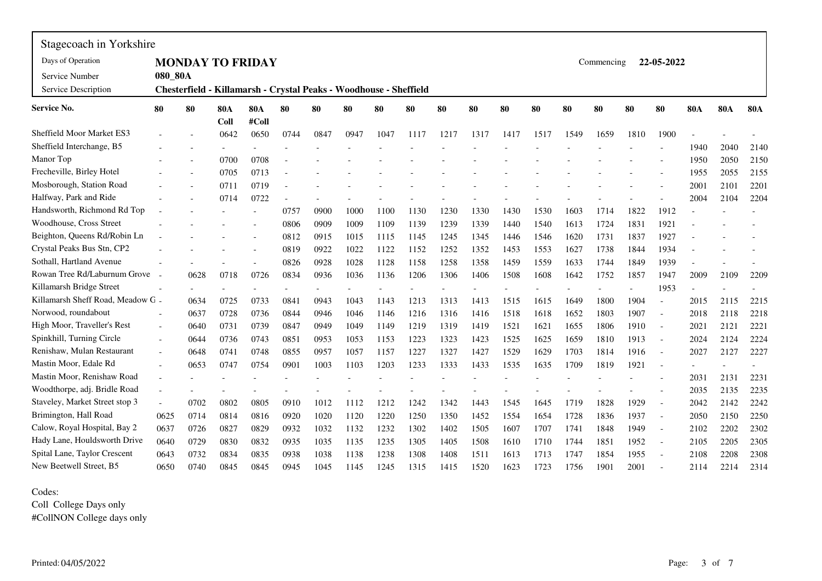| Stagecoach in Yorkshire           |         |      |            |                                                                   |      |      |      |      |      |      |      |      |      |      |            |      |                          |            |            |              |
|-----------------------------------|---------|------|------------|-------------------------------------------------------------------|------|------|------|------|------|------|------|------|------|------|------------|------|--------------------------|------------|------------|--------------|
| Days of Operation                 |         |      |            | <b>MONDAY TO FRIDAY</b>                                           |      |      |      |      |      |      |      |      |      |      | Commencing |      | 22-05-2022               |            |            |              |
| Service Number                    | 080_80A |      |            |                                                                   |      |      |      |      |      |      |      |      |      |      |            |      |                          |            |            |              |
| Service Description               |         |      |            | Chesterfield - Killamarsh - Crystal Peaks - Woodhouse - Sheffield |      |      |      |      |      |      |      |      |      |      |            |      |                          |            |            |              |
| <b>Service No.</b>                | 80      | 80   | <b>80A</b> | <b>80A</b>                                                        | 80   | 80   | 80   | 80   | 80   | 80   | 80   | 80   | 80   | 80   | 80         | 80   | 80                       | <b>80A</b> | <b>80A</b> | <b>80A</b>   |
| <b>Sheffield Moor Market ES3</b>  |         |      | Coll       | #Coll                                                             |      |      |      |      |      |      |      |      |      |      |            |      |                          |            |            |              |
| Sheffield Interchange, B5         |         |      | 0642       | 0650                                                              | 0744 | 0847 | 0947 | 1047 | 1117 | 1217 | 1317 | 1417 | 1517 | 1549 | 1659       | 1810 | 1900                     |            |            |              |
| Manor Top                         |         |      |            |                                                                   |      |      |      |      |      |      |      |      |      |      |            |      |                          | 1940       | 2040       | 2140         |
| Frecheville, Birley Hotel         |         |      | 0700       | 0708                                                              |      |      |      |      |      |      |      |      |      |      |            |      |                          | 1950       | 2050       | 2150         |
| Mosborough, Station Road          |         |      | 0705       | 0713                                                              |      |      |      |      |      |      |      |      |      |      |            |      |                          | 1955       | 2055       | 2155         |
| Halfway, Park and Ride            |         |      | 0711       | 0719                                                              |      |      |      |      |      |      |      |      |      |      |            |      |                          | 2001       | 2101       | 2201<br>2204 |
| Handsworth, Richmond Rd Top       |         |      | 0714       | 0722                                                              | 0757 | 0900 | 1000 | 1100 | 1130 | 1230 | 1330 | 1430 | 1530 | 1603 | 1714       | 1822 | 1912                     | 2004       | 2104       |              |
| Woodhouse, Cross Street           |         |      |            |                                                                   | 0806 | 0909 | 1009 | 1109 | 1139 | 1239 | 1339 | 1440 | 1540 | 1613 | 1724       | 1831 | 1921                     |            |            |              |
| Beighton, Queens Rd/Robin Ln      |         |      |            |                                                                   | 0812 | 0915 | 1015 | 1115 | 1145 | 1245 | 1345 | 1446 | 1546 | 1620 | 1731       | 1837 | 1927                     |            |            |              |
| Crystal Peaks Bus Stn, CP2        |         |      |            |                                                                   | 0819 | 0922 | 1022 | 1122 | 1152 | 1252 | 1352 | 1453 | 1553 | 1627 | 1738       | 1844 | 1934                     |            |            |              |
| Sothall, Hartland Avenue          |         |      |            |                                                                   | 0826 | 0928 | 1028 | 1128 | 1158 | 1258 | 1358 | 1459 | 1559 | 1633 | 1744       | 1849 | 1939                     |            |            |              |
| Rowan Tree Rd/Laburnum Grove      |         | 0628 | 0718       | 0726                                                              | 0834 | 0936 | 1036 | 1136 | 1206 | 1306 | 1406 | 1508 | 1608 | 1642 | 1752       | 1857 | 1947                     | 2009       | 2109       | 2209         |
| Killamarsh Bridge Street          |         |      |            |                                                                   |      |      |      |      |      |      |      |      |      |      |            |      | 1953                     |            |            |              |
| Killamarsh Sheff Road, Meadow G - |         | 0634 | 0725       | 0733                                                              | 0841 | 0943 | 1043 | 1143 | 1213 | 1313 | 1413 | 1515 | 1615 | 1649 | 1800       | 1904 | $\overline{a}$           | 2015       | 2115       | 2215         |
| Norwood, roundabout               |         | 0637 | 0728       | 0736                                                              | 0844 | 0946 | 1046 | 1146 | 1216 | 1316 | 1416 | 1518 | 1618 | 1652 | 1803       | 1907 | $\overline{\phantom{a}}$ | 2018       | 2118       | 2218         |
| High Moor, Traveller's Rest       |         | 0640 | 0731       | 0739                                                              | 0847 | 0949 | 1049 | 1149 | 1219 | 1319 | 1419 | 1521 | 1621 | 1655 | 1806       | 1910 | $\blacksquare$           | 2021       | 2121       | 2221         |
| Spinkhill, Turning Circle         |         | 0644 | 0736       | 0743                                                              | 0851 | 0953 | 1053 | 1153 | 1223 | 1323 | 1423 | 1525 | 1625 | 1659 | 1810       | 1913 | $\blacksquare$           | 2024       | 2124       | 2224         |
| Renishaw, Mulan Restaurant        |         | 0648 | 0741       | 0748                                                              | 0855 | 0957 | 1057 | 1157 | 1227 | 1327 | 1427 | 1529 | 1629 | 1703 | 1814       | 1916 | $\sim$                   | 2027       | 2127       | 2227         |
| Mastin Moor, Edale Rd             |         | 0653 | 0747       | 0754                                                              | 0901 | 1003 | 1103 | 1203 | 1233 | 1333 | 1433 | 1535 | 1635 | 1709 | 1819       | 1921 | $\overline{\phantom{a}}$ |            |            |              |
| Mastin Moor, Renishaw Road        |         |      |            |                                                                   |      |      |      |      |      |      |      |      |      |      |            |      |                          | 2031       | 2131       | 2231         |
| Woodthorpe, adj. Bridle Road      |         |      |            |                                                                   |      |      |      |      |      |      |      |      |      |      |            |      |                          | 2035       | 2135       | 2235         |
| Staveley, Market Street stop 3    |         | 0702 | 0802       | 0805                                                              | 0910 | 1012 | 1112 | 1212 | 1242 | 1342 | 1443 | 1545 | 1645 | 1719 | 1828       | 1929 | $\sim$                   | 2042       | 2142       | 2242         |
| Brimington, Hall Road             | 0625    | 0714 | 0814       | 0816                                                              | 0920 | 1020 | 1120 | 1220 | 1250 | 1350 | 1452 | 1554 | 1654 | 1728 | 1836       | 1937 | $\bar{a}$                | 2050       | 2150       | 2250         |
| Calow, Royal Hospital, Bay 2      | 0637    | 0726 | 0827       | 0829                                                              | 0932 | 1032 | 1132 | 1232 | 1302 | 1402 | 1505 | 1607 | 1707 | 1741 | 1848       | 1949 | $\sim$                   | 2102       | 2202       | 2302         |
| Hady Lane, Houldsworth Drive      | 0640    | 0729 | 0830       | 0832                                                              | 0935 | 1035 | 1135 | 1235 | 1305 | 1405 | 1508 | 1610 | 1710 | 1744 | 1851       | 1952 | $\blacksquare$           | 2105       | 2205       | 2305         |
| Spital Lane, Taylor Crescent      | 0643    | 0732 | 0834       | 0835                                                              | 0938 | 1038 | 1138 | 1238 | 1308 | 1408 | 1511 | 1613 | 1713 | 1747 | 1854       | 1955 |                          | 2108       | 2208       | 2308         |
| New Beetwell Street, B5           | 0650    | 0740 | 0845       | 0845                                                              | 0945 | 1045 | 1145 | 1245 | 1315 | 1415 | 1520 | 1623 | 1723 | 1756 | 1901       | 2001 |                          | 2114       | 2214       | 2314         |

Codes:

Coll College Days only #CollNON College days only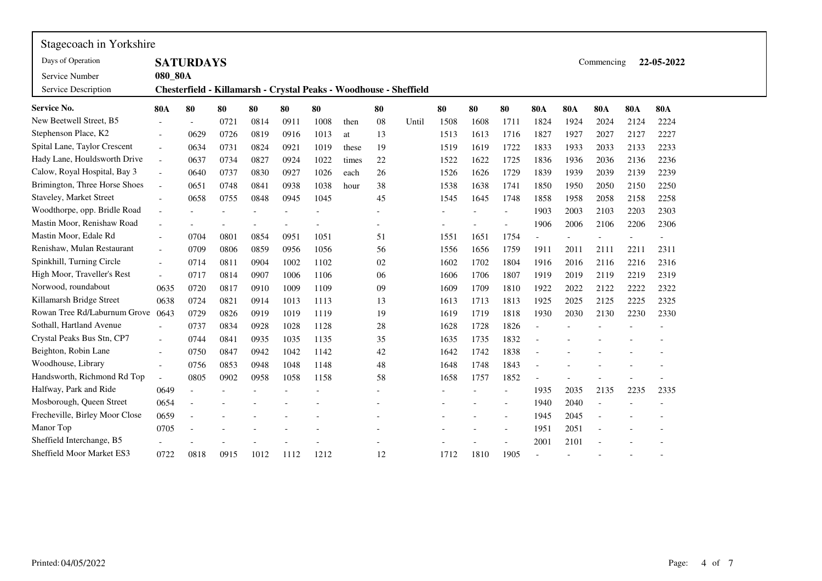| Stagecoach in Yorkshire        |                          |                  |      |      |      |      |       |    |                                                                   |      |      |                |                          |            |            |            |            |  |
|--------------------------------|--------------------------|------------------|------|------|------|------|-------|----|-------------------------------------------------------------------|------|------|----------------|--------------------------|------------|------------|------------|------------|--|
| Days of Operation              |                          | <b>SATURDAYS</b> |      |      |      |      |       |    |                                                                   |      |      |                |                          |            | Commencing |            | 22-05-2022 |  |
| Service Number                 | 080_80A                  |                  |      |      |      |      |       |    |                                                                   |      |      |                |                          |            |            |            |            |  |
| Service Description            |                          |                  |      |      |      |      |       |    | Chesterfield - Killamarsh - Crystal Peaks - Woodhouse - Sheffield |      |      |                |                          |            |            |            |            |  |
| <b>Service No.</b>             | <b>80A</b>               | 80               | 80   | 80   | 80   | 80   |       | 80 |                                                                   | 80   | 80   | 80             | <b>80A</b>               | <b>80A</b> | <b>80A</b> | <b>80A</b> | <b>80A</b> |  |
| New Beetwell Street, B5        |                          |                  | 0721 | 0814 | 0911 | 1008 | then  | 08 | Until                                                             | 1508 | 1608 | 1711           | 1824                     | 1924       | 2024       | 2124       | 2224       |  |
| Stephenson Place, K2           |                          | 0629             | 0726 | 0819 | 0916 | 1013 | at    | 13 |                                                                   | 1513 | 1613 | 1716           | 1827                     | 1927       | 2027       | 2127       | 2227       |  |
| Spital Lane, Taylor Crescent   |                          | 0634             | 0731 | 0824 | 0921 | 1019 | these | 19 |                                                                   | 1519 | 1619 | 1722           | 1833                     | 1933       | 2033       | 2133       | 2233       |  |
| Hady Lane, Houldsworth Drive   |                          | 0637             | 0734 | 0827 | 0924 | 1022 | times | 22 |                                                                   | 1522 | 1622 | 1725           | 1836                     | 1936       | 2036       | 2136       | 2236       |  |
| Calow, Royal Hospital, Bay 3   |                          | 0640             | 0737 | 0830 | 0927 | 1026 | each  | 26 |                                                                   | 1526 | 1626 | 1729           | 1839                     | 1939       | 2039       | 2139       | 2239       |  |
| Brimington, Three Horse Shoes  | $\overline{\phantom{a}}$ | 0651             | 0748 | 0841 | 0938 | 1038 | hour  | 38 |                                                                   | 1538 | 1638 | 1741           | 1850                     | 1950       | 2050       | 2150       | 2250       |  |
| Staveley, Market Street        |                          | 0658             | 0755 | 0848 | 0945 | 1045 |       | 45 |                                                                   | 1545 | 1645 | 1748           | 1858                     | 1958       | 2058       | 2158       | 2258       |  |
| Woodthorpe, opp. Bridle Road   |                          |                  |      |      |      |      |       |    |                                                                   |      |      | $\overline{a}$ | 1903                     | 2003       | 2103       | 2203       | 2303       |  |
| Mastin Moor, Renishaw Road     |                          |                  |      |      |      |      |       |    |                                                                   |      |      |                | 1906                     | 2006       | 2106       | 2206       | 2306       |  |
| Mastin Moor, Edale Rd          |                          | 0704             | 0801 | 0854 | 0951 | 1051 |       | 51 |                                                                   | 1551 | 1651 | 1754           | $\overline{\phantom{a}}$ |            |            |            |            |  |
| Renishaw, Mulan Restaurant     |                          | 0709             | 0806 | 0859 | 0956 | 1056 |       | 56 |                                                                   | 1556 | 1656 | 1759           | 1911                     | 2011       | 2111       | 2211       | 2311       |  |
| Spinkhill, Turning Circle      |                          | 0714             | 0811 | 0904 | 1002 | 1102 |       | 02 |                                                                   | 1602 | 1702 | 1804           | 1916                     | 2016       | 2116       | 2216       | 2316       |  |
| High Moor, Traveller's Rest    | $\overline{\phantom{a}}$ | 0717             | 0814 | 0907 | 1006 | 1106 |       | 06 |                                                                   | 1606 | 1706 | 1807           | 1919                     | 2019       | 2119       | 2219       | 2319       |  |
| Norwood, roundabout            | 0635                     | 0720             | 0817 | 0910 | 1009 | 1109 |       | 09 |                                                                   | 1609 | 1709 | 1810           | 1922                     | 2022       | 2122       | 2222       | 2322       |  |
| Killamarsh Bridge Street       | 0638                     | 0724             | 0821 | 0914 | 1013 | 1113 |       | 13 |                                                                   | 1613 | 1713 | 1813           | 1925                     | 2025       | 2125       | 2225       | 2325       |  |
| Rowan Tree Rd/Laburnum Grove   | 0643                     | 0729             | 0826 | 0919 | 1019 | 1119 |       | 19 |                                                                   | 1619 | 1719 | 1818           | 1930                     | 2030       | 2130       | 2230       | 2330       |  |
| Sothall, Hartland Avenue       |                          | 0737             | 0834 | 0928 | 1028 | 1128 |       | 28 |                                                                   | 1628 | 1728 | 1826           |                          |            |            |            |            |  |
| Crystal Peaks Bus Stn, CP7     |                          | 0744             | 0841 | 0935 | 1035 | 1135 |       | 35 |                                                                   | 1635 | 1735 | 1832           |                          |            |            |            |            |  |
| Beighton, Robin Lane           |                          | 0750             | 0847 | 0942 | 1042 | 1142 |       | 42 |                                                                   | 1642 | 1742 | 1838           |                          |            |            |            |            |  |
| Woodhouse, Library             |                          | 0756             | 0853 | 0948 | 1048 | 1148 |       | 48 |                                                                   | 1648 | 1748 | 1843           | $\overline{a}$           |            |            |            |            |  |
| Handsworth, Richmond Rd Top    |                          | 0805             | 0902 | 0958 | 1058 | 1158 |       | 58 |                                                                   | 1658 | 1757 | 1852           |                          |            |            |            |            |  |
| Halfway, Park and Ride         | 0649                     | $\blacksquare$   |      |      |      |      |       |    |                                                                   |      |      | $\overline{a}$ | 1935                     | 2035       | 2135       | 2235       | 2335       |  |
| Mosborough, Queen Street       | 0654                     |                  |      |      |      |      |       |    |                                                                   |      |      |                | 1940                     | 2040       |            |            |            |  |
| Frecheville, Birley Moor Close | 0659                     |                  |      |      |      |      |       |    |                                                                   |      |      |                | 1945                     | 2045       |            |            |            |  |
| Manor Top                      | 0705                     |                  |      |      |      |      |       |    |                                                                   |      |      |                | 1951                     | 2051       |            |            |            |  |
| Sheffield Interchange, B5      |                          |                  |      |      |      |      |       |    |                                                                   |      |      |                | 2001                     | 2101       |            |            |            |  |
| Sheffield Moor Market ES3      | 0722                     | 0818             | 0915 | 1012 | 1112 | 1212 |       | 12 |                                                                   | 1712 | 1810 | 1905           |                          |            |            |            |            |  |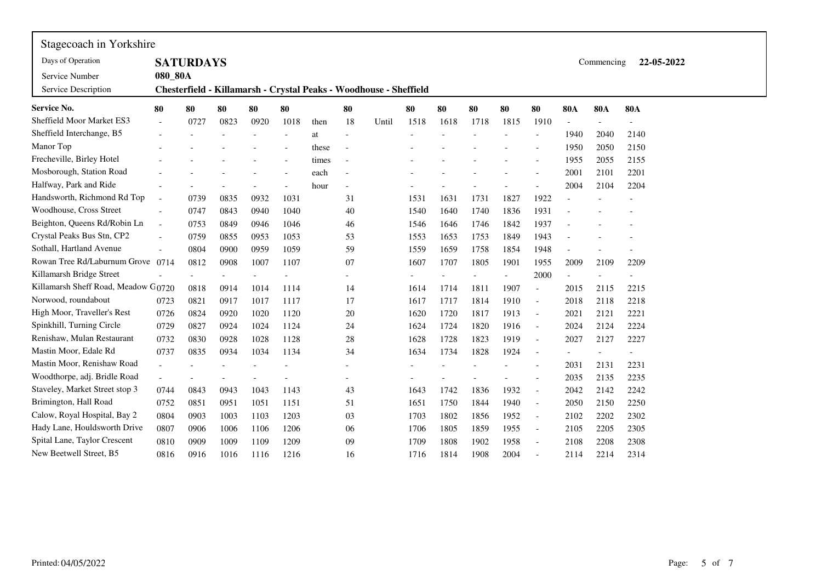| Stagecoach in Yorkshire             |                          |                  |      |      |      |       |        |                                                                   |      |      |      |      |                          |            |            |            |
|-------------------------------------|--------------------------|------------------|------|------|------|-------|--------|-------------------------------------------------------------------|------|------|------|------|--------------------------|------------|------------|------------|
| Days of Operation                   |                          | <b>SATURDAYS</b> |      |      |      |       |        |                                                                   |      |      |      |      |                          |            | Commencing | 22-05-2022 |
| Service Number                      | 080_80A                  |                  |      |      |      |       |        |                                                                   |      |      |      |      |                          |            |            |            |
| Service Description                 |                          |                  |      |      |      |       |        | Chesterfield - Killamarsh - Crystal Peaks - Woodhouse - Sheffield |      |      |      |      |                          |            |            |            |
| <b>Service No.</b>                  | 80                       | 80               | 80   | 80   | 80   |       | 80     |                                                                   | 80   | 80   | 80   | 80   | 80                       | <b>80A</b> | <b>80A</b> | <b>80A</b> |
| <b>Sheffield Moor Market ES3</b>    |                          | 0727             | 0823 | 0920 | 1018 | then  | 18     | Until                                                             | 1518 | 1618 | 1718 | 1815 | 1910                     |            |            |            |
| Sheffield Interchange, B5           |                          |                  |      |      |      | at    | $\sim$ |                                                                   |      |      |      |      |                          | 1940       | 2040       | 2140       |
| Manor Top                           |                          |                  |      |      |      | these | Ĭ.     |                                                                   |      |      |      |      |                          | 1950       | 2050       | 2150       |
| Frecheville, Birley Hotel           |                          |                  |      |      |      | times | Ĭ.     |                                                                   |      |      |      |      |                          | 1955       | 2055       | 2155       |
| Mosborough, Station Road            |                          |                  |      |      |      | each  |        |                                                                   |      |      |      |      |                          | 2001       | 2101       | 2201       |
| Halfway, Park and Ride              |                          |                  |      |      |      | hour  |        |                                                                   |      |      |      |      |                          | 2004       | 2104       | 2204       |
| Handsworth, Richmond Rd Top         |                          | 0739             | 0835 | 0932 | 1031 |       | 31     |                                                                   | 1531 | 1631 | 1731 | 1827 | 1922                     |            |            |            |
| Woodhouse, Cross Street             | $\sim$                   | 0747             | 0843 | 0940 | 1040 |       | 40     |                                                                   | 1540 | 1640 | 1740 | 1836 | 1931                     |            |            |            |
| Beighton, Queens Rd/Robin Ln        | $\overline{a}$           | 0753             | 0849 | 0946 | 1046 |       | 46     |                                                                   | 1546 | 1646 | 1746 | 1842 | 1937                     |            |            |            |
| Crystal Peaks Bus Stn, CP2          |                          | 0759             | 0855 | 0953 | 1053 |       | 53     |                                                                   | 1553 | 1653 | 1753 | 1849 | 1943                     |            |            |            |
| Sothall, Hartland Avenue            |                          | 0804             | 0900 | 0959 | 1059 |       | 59     |                                                                   | 1559 | 1659 | 1758 | 1854 | 1948                     |            |            |            |
| Rowan Tree Rd/Laburnum Grove 0714   |                          | 0812             | 0908 | 1007 | 1107 |       | 07     |                                                                   | 1607 | 1707 | 1805 | 1901 | 1955                     | 2009       | 2109       | 2209       |
| Killamarsh Bridge Street            |                          |                  |      |      |      |       |        |                                                                   |      |      |      |      | 2000                     |            |            |            |
| Killamarsh Sheff Road, Meadow G0720 |                          | 0818             | 0914 | 1014 | 1114 |       | 14     |                                                                   | 1614 | 1714 | 1811 | 1907 | $\overline{\phantom{a}}$ | 2015       | 2115       | 2215       |
| Norwood, roundabout                 | 0723                     | 0821             | 0917 | 1017 | 1117 |       | 17     |                                                                   | 1617 | 1717 | 1814 | 1910 | $\overline{\phantom{a}}$ | 2018       | 2118       | 2218       |
| High Moor, Traveller's Rest         | 0726                     | 0824             | 0920 | 1020 | 1120 |       | 20     |                                                                   | 1620 | 1720 | 1817 | 1913 | $\blacksquare$           | 2021       | 2121       | 2221       |
| Spinkhill, Turning Circle           | 0729                     | 0827             | 0924 | 1024 | 1124 |       | 24     |                                                                   | 1624 | 1724 | 1820 | 1916 | $\overline{\phantom{a}}$ | 2024       | 2124       | 2224       |
| Renishaw, Mulan Restaurant          | 0732                     | 0830             | 0928 | 1028 | 1128 |       | $28\,$ |                                                                   | 1628 | 1728 | 1823 | 1919 | $\overline{a}$           | 2027       | 2127       | 2227       |
| Mastin Moor, Edale Rd               | 0737                     | 0835             | 0934 | 1034 | 1134 |       | 34     |                                                                   | 1634 | 1734 | 1828 | 1924 | $\overline{\phantom{a}}$ |            |            |            |
| Mastin Moor, Renishaw Road          | $\overline{\phantom{a}}$ |                  |      |      |      |       |        |                                                                   |      |      |      |      |                          | 2031       | 2131       | 2231       |
| Woodthorpe, adj. Bridle Road        |                          |                  |      |      |      |       |        |                                                                   |      |      |      |      | $\overline{\phantom{0}}$ | 2035       | 2135       | 2235       |
| Staveley, Market Street stop 3      | 0744                     | 0843             | 0943 | 1043 | 1143 |       | 43     |                                                                   | 1643 | 1742 | 1836 | 1932 | $\overline{a}$           | 2042       | 2142       | 2242       |
| Brimington, Hall Road               | 0752                     | 0851             | 0951 | 1051 | 1151 |       | 51     |                                                                   | 1651 | 1750 | 1844 | 1940 | $\overline{\phantom{a}}$ | 2050       | 2150       | 2250       |
| Calow, Royal Hospital, Bay 2        | 0804                     | 0903             | 1003 | 1103 | 1203 |       | 03     |                                                                   | 1703 | 1802 | 1856 | 1952 | $\overline{\phantom{a}}$ | 2102       | 2202       | 2302       |
| Hady Lane, Houldsworth Drive        | 0807                     | 0906             | 1006 | 1106 | 1206 |       | 06     |                                                                   | 1706 | 1805 | 1859 | 1955 | $\overline{\phantom{a}}$ | 2105       | 2205       | 2305       |
| Spital Lane, Taylor Crescent        | 0810                     | 0909             | 1009 | 1109 | 1209 |       | 09     |                                                                   | 1709 | 1808 | 1902 | 1958 |                          | 2108       | 2208       | 2308       |
| New Beetwell Street, B5             | 0816                     | 0916             | 1016 | 1116 | 1216 |       | 16     |                                                                   | 1716 | 1814 | 1908 | 2004 | $\overline{a}$           | 2114       | 2214       | 2314       |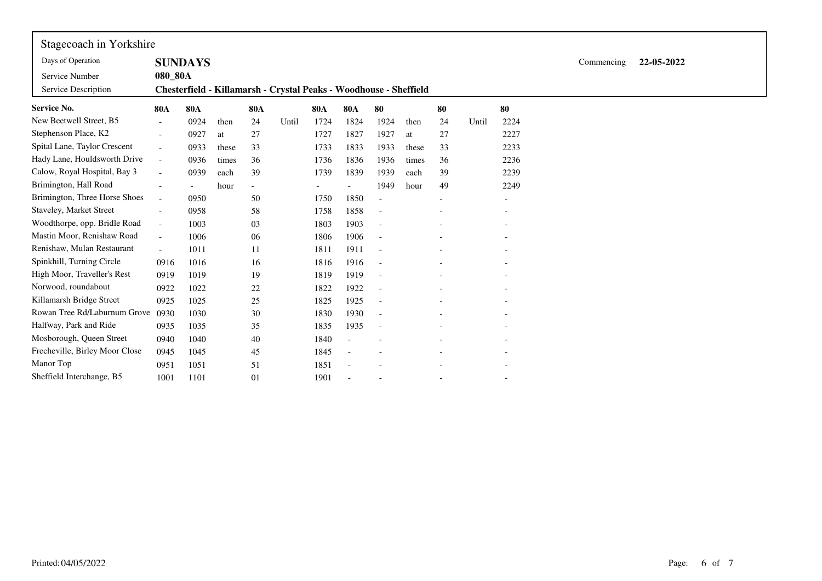| Stagecoach in Yorkshire        |                          |                |       |                          |                                                                   |                          |                          |                          |       |                   |       |                          |  |            |            |  |
|--------------------------------|--------------------------|----------------|-------|--------------------------|-------------------------------------------------------------------|--------------------------|--------------------------|--------------------------|-------|-------------------|-------|--------------------------|--|------------|------------|--|
| Days of Operation              |                          | <b>SUNDAYS</b> |       |                          |                                                                   |                          |                          |                          |       |                   |       |                          |  | Commencing | 22-05-2022 |  |
| Service Number                 | 080_80A                  |                |       |                          |                                                                   |                          |                          |                          |       |                   |       |                          |  |            |            |  |
| Service Description            |                          |                |       |                          | Chesterfield - Killamarsh - Crystal Peaks - Woodhouse - Sheffield |                          |                          |                          |       |                   |       |                          |  |            |            |  |
| <b>Service No.</b>             | <b>80A</b>               | <b>80A</b>     |       | <b>80A</b>               |                                                                   | <b>80A</b>               | <b>80A</b>               | 80                       |       | 80                |       | 80                       |  |            |            |  |
| New Beetwell Street, B5        | $\blacksquare$           | 0924           | then  | 24                       | Until                                                             | 1724                     | 1824                     | 1924                     | then  | 24                | Until | 2224                     |  |            |            |  |
| Stephenson Place, K2           | $\overline{\phantom{a}}$ | 0927           | at    | 27                       |                                                                   | 1727                     | 1827                     | 1927                     | at    | 27                |       | 2227                     |  |            |            |  |
| Spital Lane, Taylor Crescent   | $\overline{a}$           | 0933           | these | 33                       |                                                                   | 1733                     | 1833                     | 1933                     | these | 33                |       | 2233                     |  |            |            |  |
| Hady Lane, Houldsworth Drive   | $-$                      | 0936           | times | 36                       |                                                                   | 1736                     | 1836                     | 1936                     | times | 36                |       | 2236                     |  |            |            |  |
| Calow, Royal Hospital, Bay 3   | $\overline{\phantom{a}}$ | 0939           | each  | 39                       |                                                                   | 1739                     | 1839                     | 1939                     | each  | 39                |       | 2239                     |  |            |            |  |
| Brimington, Hall Road          | $\blacksquare$           | $\overline{a}$ | hour  | $\overline{\phantom{a}}$ |                                                                   | $\overline{\phantom{a}}$ |                          | 1949                     | hour  | 49                |       | 2249                     |  |            |            |  |
| Brimington, Three Horse Shoes  | $\overline{\phantom{a}}$ | 0950           |       | 50                       |                                                                   | 1750                     | 1850                     |                          |       | $\qquad \qquad -$ |       |                          |  |            |            |  |
| Staveley, Market Street        | $\blacksquare$           | 0958           |       | 58                       |                                                                   | 1758                     | 1858                     | $\overline{\phantom{a}}$ |       |                   |       |                          |  |            |            |  |
| Woodthorpe, opp. Bridle Road   | $\overline{\phantom{a}}$ | 1003           |       | 03                       |                                                                   | 1803                     | 1903                     | $\overline{\phantom{a}}$ |       | $\qquad \qquad -$ |       |                          |  |            |            |  |
| Mastin Moor, Renishaw Road     | $\overline{\phantom{a}}$ | 1006           |       | 06                       |                                                                   | 1806                     | 1906                     | $\overline{\phantom{a}}$ |       |                   |       |                          |  |            |            |  |
| Renishaw, Mulan Restaurant     |                          | 1011           |       | 11                       |                                                                   | 1811                     | 1911                     | $\overline{\phantom{a}}$ |       |                   |       |                          |  |            |            |  |
| Spinkhill, Turning Circle      | 0916                     | 1016           |       | 16                       |                                                                   | 1816                     | 1916                     | $\overline{\phantom{a}}$ |       |                   |       |                          |  |            |            |  |
| High Moor, Traveller's Rest    | 0919                     | 1019           |       | 19                       |                                                                   | 1819                     | 1919                     | $\overline{\phantom{a}}$ |       |                   |       |                          |  |            |            |  |
| Norwood, roundabout            | 0922                     | 1022           |       | 22                       |                                                                   | 1822                     | 1922                     | $\overline{\phantom{a}}$ |       |                   |       |                          |  |            |            |  |
| Killamarsh Bridge Street       | 0925                     | 1025           |       | 25                       |                                                                   | 1825                     | 1925                     |                          |       |                   |       |                          |  |            |            |  |
| Rowan Tree Rd/Laburnum Grove   | 0930                     | 1030           |       | 30                       |                                                                   | 1830                     | 1930                     | $\overline{\phantom{a}}$ |       |                   |       |                          |  |            |            |  |
| Halfway, Park and Ride         | 0935                     | 1035           |       | 35                       |                                                                   | 1835                     | 1935                     | $\overline{\phantom{a}}$ |       |                   |       |                          |  |            |            |  |
| Mosborough, Queen Street       | 0940                     | 1040           |       | 40                       |                                                                   | 1840                     |                          |                          |       |                   |       |                          |  |            |            |  |
| Frecheville, Birley Moor Close | 0945                     | 1045           |       | 45                       |                                                                   | 1845                     | $\overline{\phantom{a}}$ |                          |       |                   |       |                          |  |            |            |  |
| Manor Top                      | 0951                     | 1051           |       | 51                       |                                                                   | 1851                     |                          |                          |       |                   |       |                          |  |            |            |  |
| Sheffield Interchange, B5      | 1001                     | 1101           |       | 01                       |                                                                   | 1901                     |                          |                          |       |                   |       | $\overline{\phantom{a}}$ |  |            |            |  |